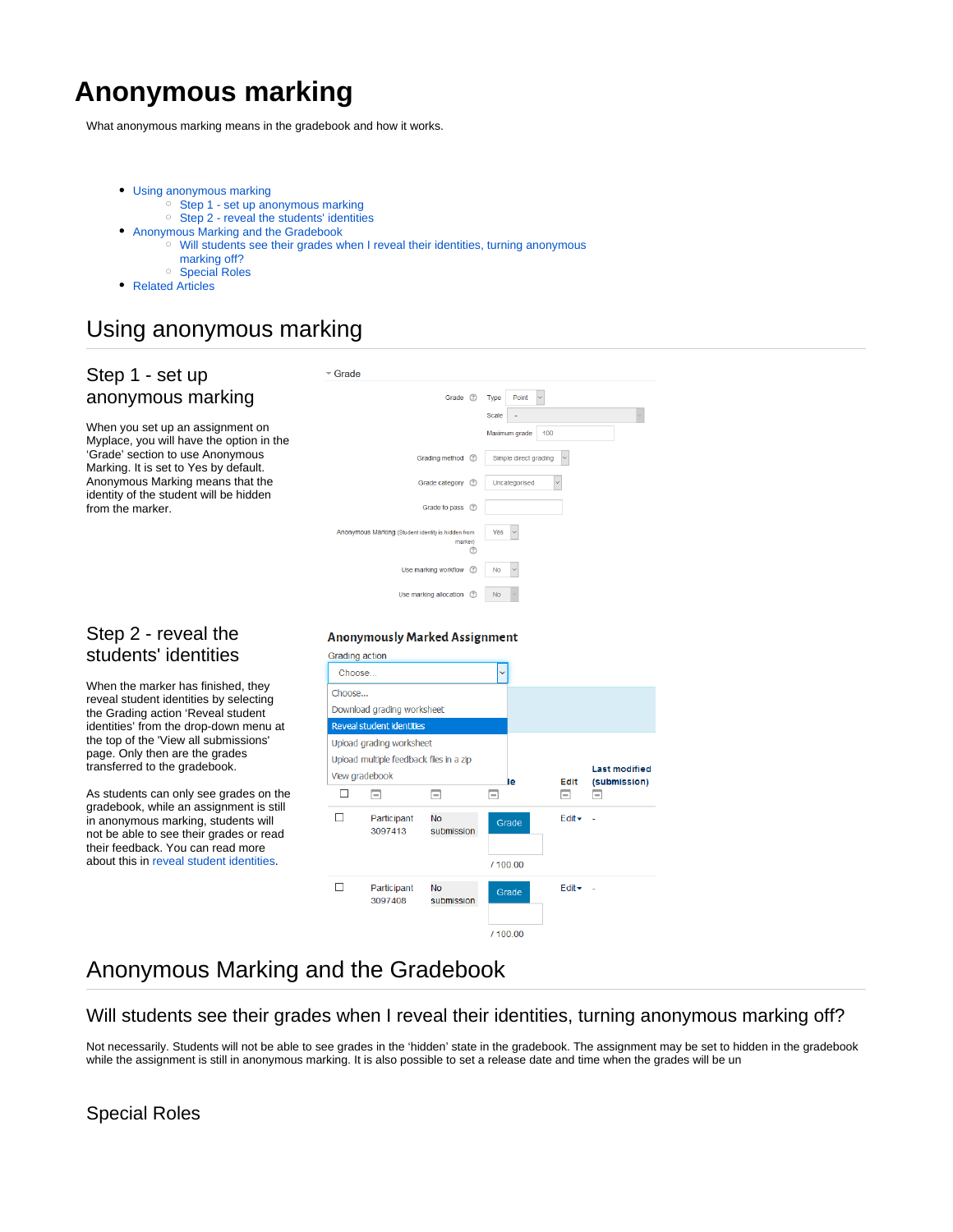# **Anonymous marking**

What anonymous marking means in the gradebook and how it works.

- [Using anonymous marking](#page-0-0)
	- <sup>o</sup> [Step 1 set up anonymous marking](#page-0-1)
		- [Step 2 reveal the students' identities](#page-0-2)
- [Anonymous Marking and the Gradebook](#page-0-3)
	-
	- [Will students see their grades when I reveal their identities, turning anonymous](#page-0-4)  [marking off?](#page-0-4)
	- <sup>o</sup> [Special Roles](#page-0-5)
- [Related Articles](#page-1-0)

## <span id="page-0-0"></span>Using anonymous marking

<span id="page-0-1"></span>

| Step 1 - set up                                                                                                                                                             | Grade<br>$\overline{\phantom{a}}$                                  |                                 |
|-----------------------------------------------------------------------------------------------------------------------------------------------------------------------------|--------------------------------------------------------------------|---------------------------------|
| anonymous marking                                                                                                                                                           | $\circledR$<br>Grade                                               | Point<br><b>Type</b>            |
| When you set up an assignment on<br>Myplace, you will have the option in the                                                                                                |                                                                    | Scale<br>100<br>Maximum grade   |
| 'Grade' section to use Anonymous<br>Marking. It is set to Yes by default.<br>Anonymous Marking means that the<br>identity of the student will be hidden<br>from the marker. | Grading method<br>$\left( \frac{\gamma}{\gamma} \right)$           | Simple direct grading<br>$\vee$ |
|                                                                                                                                                                             | Grade category<br>(?)                                              | Uncategorised                   |
|                                                                                                                                                                             | Grade to pass<br>$\circledR$                                       |                                 |
|                                                                                                                                                                             | Anonymous Marking (Student identity is hidden from<br>markert<br>C | Yes<br>$\vee$                   |
|                                                                                                                                                                             | Use marking workflow                                               | <b>No</b><br>$\checkmark$       |
|                                                                                                                                                                             | Use marking allocation<br>$\circledR$                              | <b>No</b>                       |

#### <span id="page-0-2"></span>Step 2 - reveal the students' identities

When the marker has finished, they reveal student identities by selecting the Grading action 'Reveal student identities' from the drop-down menu at the top of the 'View all submissions' page. Only then are the grades transferred to the gradebook.

As students can only see grades on the gradebook, while an assignment is still in anonymous marking, students will not be able to see their grades or read their feedback. You can read more about this in [reveal student identities.](https://wiki.lte.strath.ac.uk/pages/viewpage.action?pageId=21234845)

#### **Anonymously Marked Assignment**



### <span id="page-0-3"></span>Anonymous Marking and the Gradebook

#### <span id="page-0-4"></span>Will students see their grades when I reveal their identities, turning anonymous marking off?

Not necessarily. Students will not be able to see grades in the 'hidden' state in the gradebook. The assignment may be set to hidden in the gradebook while the assignment is still in anonymous marking. It is also possible to set a release date and time when the grades will be un

### <span id="page-0-5"></span>Special Roles